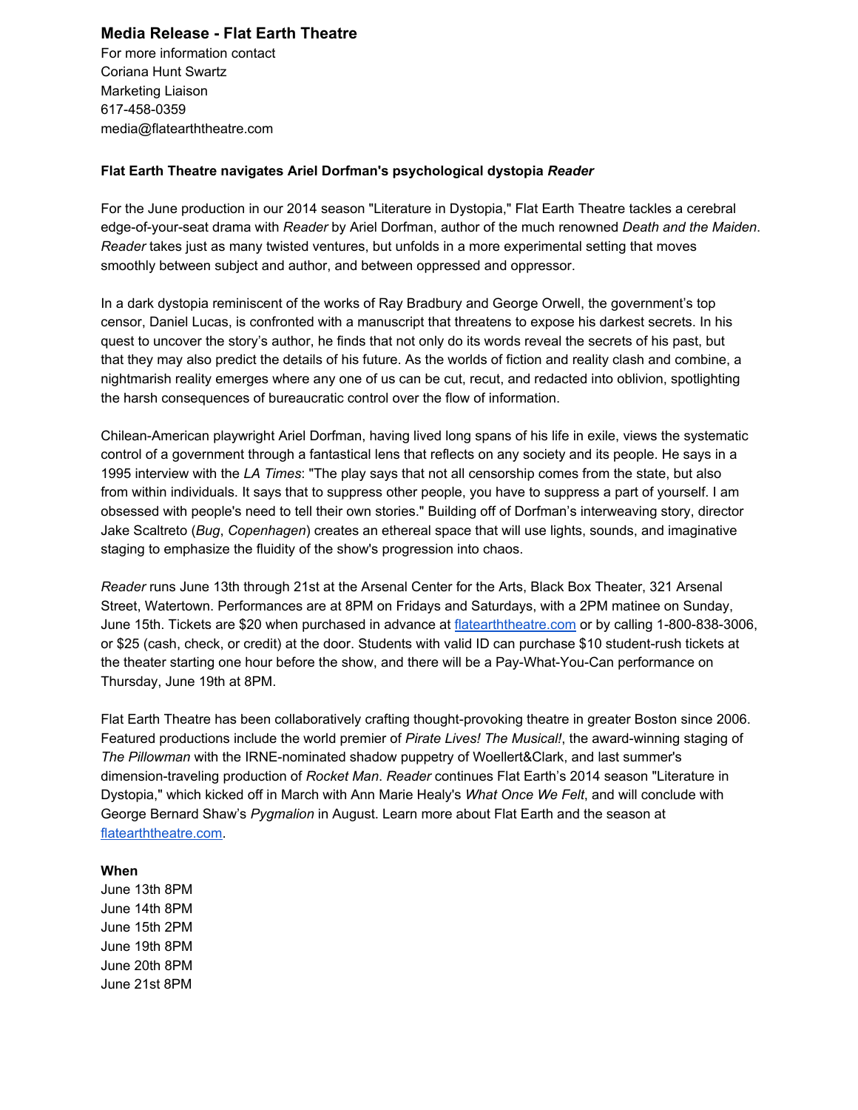# **Media Release Flat Earth Theatre**

For more information contact Coriana Hunt Swartz Marketing Liaison 617-458-0359 media@flatearththeatre.com

### **Flat Earth Theatre navigates Ariel Dorfman's psychological dystopia** *Reader*

For the June production in our 2014 season "Literature in Dystopia," Flat Earth Theatre tackles a cerebral edge-of-your-seat drama with *Reader* by Ariel Dorfman, author of the much renowned *Death and the Maiden*. *Reader* takes just as many twisted ventures, but unfolds in a more experimental setting that moves smoothly between subject and author, and between oppressed and oppressor.

In a dark dystopia reminiscent of the works of Ray Bradbury and George Orwell, the government's top censor, Daniel Lucas, is confronted with a manuscript that threatens to expose his darkest secrets. In his quest to uncover the story's author, he finds that not only do its words reveal the secrets of his past, but that they may also predict the details of his future. As the worlds of fiction and reality clash and combine, a nightmarish reality emerges where any one of us can be cut, recut, and redacted into oblivion, spotlighting the harsh consequences of bureaucratic control over the flow of information.

Chilean-American playwright Ariel Dorfman, having lived long spans of his life in exile, views the systematic control of a government through a fantastical lens that reflects on any society and its people. He says in a 1995 interview with the *LA Times*: "The play says that not all censorship comes from the state, but also from within individuals. It says that to suppress other people, you have to suppress a part of yourself. I am obsessed with people's need to tell their own stories." Building off of Dorfman's interweaving story, director Jake Scaltreto (*Bug*, *Copenhagen*) creates an ethereal space that will use lights, sounds, and imaginative staging to emphasize the fluidity of the show's progression into chaos.

*Reader* runs June 13th through 21st at the Arsenal Center for the Arts, Black Box Theater, 321 Arsenal Street, Watertown. Performances are at 8PM on Fridays and Saturdays, with a 2PM matinee on Sunday, June 15th. Tickets are \$20 when purchased in advance at [flatearththeatre.com](http://www.google.com/url?q=http%3A%2F%2Fflatearththeatre.com&sa=D&sntz=1&usg=AFQjCNE5d8cxNfYvCLZJFOxPVS6Wt3PrOA) or by calling 1-800-838-3006, or \$25 (cash, check, or credit) at the door. Students with valid ID can purchase \$10 student-rush tickets at the theater starting one hour before the show, and there will be a Pay-What-You-Can performance on Thursday, June 19th at 8PM.

Flat Earth Theatre has been collaboratively crafting thought-provoking theatre in greater Boston since 2006. Featured productions include the world premier of *Pirate Lives! The Musical!*, the award-winning staging of *The Pillowman* with the IRNE-nominated shadow puppetry of Woellert&Clark, and last summer's dimension-traveling production of *Rocket Man. Reader* continues Flat Earth's 2014 season "Literature in Dystopia," which kicked off in March with Ann Marie Healy's *What Once We Felt*, and will conclude with George Bernard Shaw's *Pygmalion* in August. Learn more about Flat Earth and the season at [flatearththeatre.com.](http://www.google.com/url?q=http%3A%2F%2Fflatearththeatre.com%2F&sa=D&sntz=1&usg=AFQjCNEmoAdKLiVqmMPLtgIqiQ-5dWs3Dw)

#### **When**

June 13th 8PM June 14th 8PM June 15th 2PM June 19th 8PM June 20th 8PM June 21st 8PM